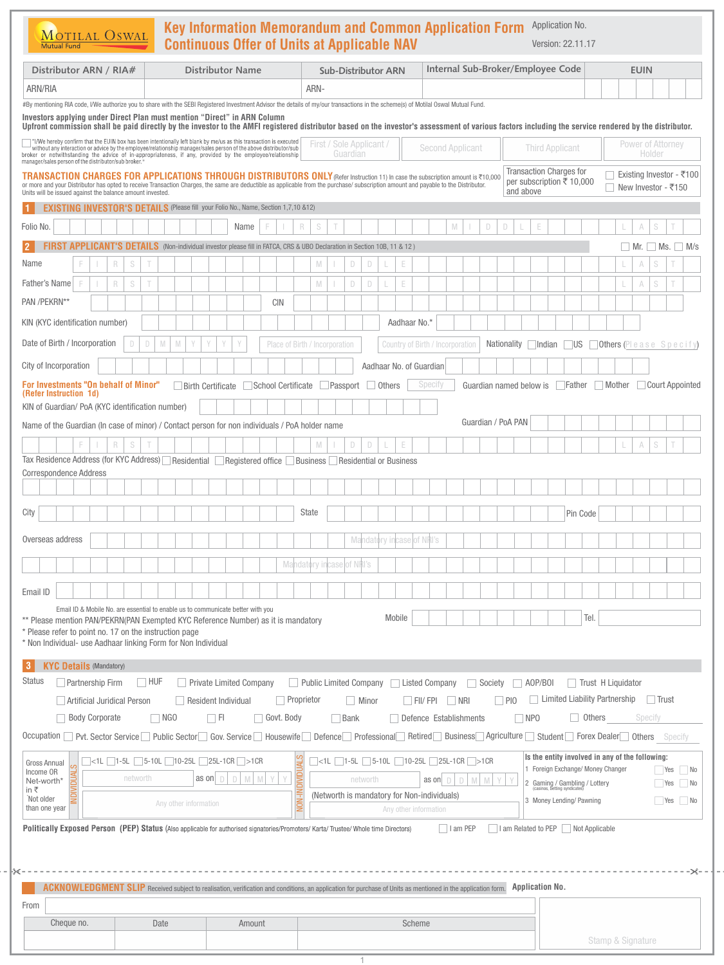| $\underbrace{\hbox{MOTILAL OSWAL}}_{\hbox{Mutual Fund}}$                                                                                                                                                                                                                                                                                                                                                                                                                |                                                                              | <b>Key Information Memorandum and Common Application Form</b><br><b>Continuous Offer of Units at Applicable NAV</b>                                          |                                                     |                                      |               |                                                                      |              |                         |                                                       |             | Application No.<br>Version: 22.11.17                                                 |          |                           |                             |              |                                |
|-------------------------------------------------------------------------------------------------------------------------------------------------------------------------------------------------------------------------------------------------------------------------------------------------------------------------------------------------------------------------------------------------------------------------------------------------------------------------|------------------------------------------------------------------------------|--------------------------------------------------------------------------------------------------------------------------------------------------------------|-----------------------------------------------------|--------------------------------------|---------------|----------------------------------------------------------------------|--------------|-------------------------|-------------------------------------------------------|-------------|--------------------------------------------------------------------------------------|----------|---------------------------|-----------------------------|--------------|--------------------------------|
| Distributor ARN / RIA#                                                                                                                                                                                                                                                                                                                                                                                                                                                  |                                                                              | <b>Distributor Name</b>                                                                                                                                      |                                                     | <b>Sub-Distributor ARN</b>           |               |                                                                      |              |                         | Internal Sub-Broker/Employee Code                     |             |                                                                                      |          |                           | <b>EUIN</b>                 |              |                                |
| <b>ARN/RIA</b>                                                                                                                                                                                                                                                                                                                                                                                                                                                          |                                                                              |                                                                                                                                                              | ARN-                                                |                                      |               |                                                                      |              |                         |                                                       |             |                                                                                      |          |                           |                             |              |                                |
| #By mentioning RIA code, I/We authorize you to share with the SEBI Registered Investment Advisor the details of my/our transactions in the scheme(s) of Motilal Oswal Mutual Fund.<br>Investors applying under Direct Plan must mention "Direct" in ARN Column<br>Upfront commission shall be paid directly by the investor to the AMFI registered distributor based on the investor's assessment of various factors including the service rendered by the distributor. |                                                                              |                                                                                                                                                              |                                                     |                                      |               |                                                                      |              |                         |                                                       |             |                                                                                      |          |                           |                             |              |                                |
| "I/We hereby confirm that the EUIN box has been intentionally left blank by me/us as this transaction is executed<br>without any interaction or advice by the employee/relationship manager/sales person of the above distributor/sub<br>broker or notwithstanding the advice of in-appropriateness, if any, provided by the employee/relationship<br>manager/sales person of the distributor/sub broker."                                                              |                                                                              |                                                                                                                                                              |                                                     | First / Sole Applicant /<br>Guardian |               |                                                                      |              | <b>Second Applicant</b> |                                                       |             | <b>Third Applicant</b>                                                               |          |                           | Power of Attorney<br>Holder |              |                                |
| TRANSACTION CHARGES FOR APPLICATIONS THROUGH DISTRIBUTORS ONLY (Refer Instruction 11) In case the subscription amount is ₹10,000<br>or more and your Distributor has opted to receive Transaction Charges, the same are deductible as applicable from the purchase/ subscription amount and payable to the Distributor.<br>Units will be issued against the balance amount invested.                                                                                    |                                                                              |                                                                                                                                                              |                                                     |                                      |               |                                                                      |              |                         |                                                       | and above   | <b>Transaction Charges for</b><br>per subscription $\overline{\xi}$ 10,000           |          |                           | │ New Investor - ₹150       |              | □ Existing Investor - ₹100     |
|                                                                                                                                                                                                                                                                                                                                                                                                                                                                         |                                                                              | <b>EXISTING INVESTOR'S DETAILS</b> (Please fill your Folio No., Name, Section 1,7,10 &12)                                                                    |                                                     |                                      |               |                                                                      |              |                         |                                                       |             |                                                                                      |          |                           |                             |              |                                |
| Folio No.                                                                                                                                                                                                                                                                                                                                                                                                                                                               |                                                                              | Name                                                                                                                                                         | R<br>S                                              |                                      |               |                                                                      |              | M                       | D                                                     | D           |                                                                                      |          |                           |                             | S            |                                |
|                                                                                                                                                                                                                                                                                                                                                                                                                                                                         |                                                                              | <b>DETAILS</b> (Non-individual investor please fill in FATCA, CRS & UBO Declaration in Section 10B, 11 & 12)                                                 |                                                     |                                      |               |                                                                      |              |                         |                                                       |             |                                                                                      |          |                           | $\_$ Mr. $\_$ Ms. $\_$      |              | M/s                            |
| Name<br>R                                                                                                                                                                                                                                                                                                                                                                                                                                                               | S                                                                            |                                                                                                                                                              | M                                                   | D                                    | D             | Е                                                                    |              |                         |                                                       |             |                                                                                      |          |                           | А                           |              |                                |
| Father's Name<br>R                                                                                                                                                                                                                                                                                                                                                                                                                                                      | S                                                                            |                                                                                                                                                              | M                                                   | D                                    | D             | E                                                                    |              |                         |                                                       |             |                                                                                      |          |                           | А                           | S            |                                |
| PAN /PEKRN**                                                                                                                                                                                                                                                                                                                                                                                                                                                            |                                                                              | <b>CIN</b>                                                                                                                                                   |                                                     |                                      |               |                                                                      |              |                         |                                                       |             |                                                                                      |          |                           |                             |              |                                |
| KIN (KYC identification number)                                                                                                                                                                                                                                                                                                                                                                                                                                         |                                                                              |                                                                                                                                                              |                                                     |                                      |               | Aadhaar No.*                                                         |              |                         |                                                       |             |                                                                                      |          |                           |                             |              |                                |
| Date of Birth / Incorporation                                                                                                                                                                                                                                                                                                                                                                                                                                           | D<br>M                                                                       |                                                                                                                                                              | Place of Birth / Incorporation                      |                                      |               | Country of Birth / Incorporation                                     |              |                         |                                                       |             | Nationality $\Box$ Indian $\Box$ US                                                  |          |                           |                             |              | <b>Others (Please Specify)</b> |
| City of Incorporation                                                                                                                                                                                                                                                                                                                                                                                                                                                   |                                                                              |                                                                                                                                                              |                                                     |                                      |               | Aadhaar No. of Guardian                                              |              |                         |                                                       |             |                                                                                      |          |                           |                             |              |                                |
| <b>For Investments "On behalf of Minor"</b>                                                                                                                                                                                                                                                                                                                                                                                                                             |                                                                              | Birth Certificate School Certificate □ Passport                                                                                                              |                                                     |                                      | <b>Others</b> |                                                                      | Specify      |                         | Guardian named below is Father Mother Court Appointed |             |                                                                                      |          |                           |                             |              |                                |
| (Refer Instruction 1d)<br>KIN of Guardian/ PoA (KYC identification number)                                                                                                                                                                                                                                                                                                                                                                                              |                                                                              |                                                                                                                                                              |                                                     |                                      |               |                                                                      |              |                         |                                                       |             |                                                                                      |          |                           |                             |              |                                |
|                                                                                                                                                                                                                                                                                                                                                                                                                                                                         |                                                                              |                                                                                                                                                              |                                                     |                                      |               |                                                                      |              |                         | Guardian / PoA PAN                                    |             |                                                                                      |          |                           |                             |              |                                |
| Name of the Guardian (In case of minor) / Contact person for non individuals / PoA holder name                                                                                                                                                                                                                                                                                                                                                                          |                                                                              |                                                                                                                                                              |                                                     |                                      |               |                                                                      |              |                         |                                                       |             |                                                                                      |          |                           |                             |              |                                |
| R<br>Tax Residence Address (for KYC Address) □ Residential □ Registered office □ Business □ Residential or Business                                                                                                                                                                                                                                                                                                                                                     | S                                                                            |                                                                                                                                                              | M                                                   | D                                    | D             |                                                                      |              |                         |                                                       |             |                                                                                      |          |                           |                             |              |                                |
| <b>Correspondence Address</b>                                                                                                                                                                                                                                                                                                                                                                                                                                           |                                                                              |                                                                                                                                                              |                                                     |                                      |               |                                                                      |              |                         |                                                       |             |                                                                                      |          |                           |                             |              |                                |
|                                                                                                                                                                                                                                                                                                                                                                                                                                                                         |                                                                              |                                                                                                                                                              |                                                     |                                      |               |                                                                      |              |                         |                                                       |             |                                                                                      |          |                           |                             |              |                                |
| City                                                                                                                                                                                                                                                                                                                                                                                                                                                                    |                                                                              |                                                                                                                                                              | <b>State</b>                                        |                                      |               |                                                                      |              |                         |                                                       |             |                                                                                      | Pin Code |                           |                             |              |                                |
| Overseas address                                                                                                                                                                                                                                                                                                                                                                                                                                                        |                                                                              |                                                                                                                                                              |                                                     |                                      |               | Mandatory incase of NRI's                                            |              |                         |                                                       |             |                                                                                      |          |                           |                             |              |                                |
|                                                                                                                                                                                                                                                                                                                                                                                                                                                                         |                                                                              |                                                                                                                                                              | Mandatory incase of NRI's                           |                                      |               |                                                                      |              |                         |                                                       |             |                                                                                      |          |                           |                             |              |                                |
| Email ID                                                                                                                                                                                                                                                                                                                                                                                                                                                                |                                                                              |                                                                                                                                                              |                                                     |                                      |               |                                                                      |              |                         |                                                       |             |                                                                                      |          |                           |                             |              |                                |
| Email ID & Mobile No. are essential to enable us to communicate better with you<br>** Please mention PAN/PEKRN(PAN Exempted KYC Reference Number) as it is mandatory<br>* Please refer to point no. 17 on the instruction page<br>* Non Individual- use Aadhaar linking Form for Non Individual                                                                                                                                                                         |                                                                              |                                                                                                                                                              |                                                     |                                      |               | Mobile                                                               |              |                         |                                                       |             |                                                                                      |          | Tel.                      |                             |              |                                |
|                                                                                                                                                                                                                                                                                                                                                                                                                                                                         |                                                                              |                                                                                                                                                              |                                                     |                                      |               |                                                                      |              |                         |                                                       |             |                                                                                      |          |                           |                             |              |                                |
| <b>KYC Details (Mandatory)</b>                                                                                                                                                                                                                                                                                                                                                                                                                                          |                                                                              |                                                                                                                                                              |                                                     |                                      |               |                                                                      |              |                         |                                                       |             |                                                                                      |          |                           |                             |              |                                |
| Status<br>Partnership Firm                                                                                                                                                                                                                                                                                                                                                                                                                                              | $\Box$ HUF                                                                   | <b>Private Limited Company</b>                                                                                                                               | $\Box$ Public Limited Company $\Box$ Listed Company |                                      |               |                                                                      |              |                         | $\Box$ Society                                        |             | $\Box$ AOP/BOI                                                                       |          | $\Box$ Trust H Liquidator |                             |              |                                |
| Artificial Juridical Person                                                                                                                                                                                                                                                                                                                                                                                                                                             |                                                                              | Resident Individual                                                                                                                                          | $\Box$ Proprietor                                   |                                      | Minor         |                                                                      |              | FII/FPI NRI             |                                                       | $\vert$ PIO | $\Box$ Limited Liability Partnership                                                 |          |                           |                             | $\Box$ Trust |                                |
| □ Body Corporate<br>Occupation Pvt. Sector Service Public Sector Gov. Service Housewife Defence Professional Retired Business Agriculture Student Forex Dealer Others                                                                                                                                                                                                                                                                                                   | $\Box$ NGO                                                                   | $\Box$ Fi<br>□ Govt. Body                                                                                                                                    |                                                     | Bank                                 |               |                                                                      |              | Defence Establishments  |                                                       |             | $\Box$ NPO                                                                           |          | $\Box$ Others             | Specify                     |              | Specify                        |
| Gross Annual<br>Income OR                                                                                                                                                                                                                                                                                                                                                                                                                                               | $\Box$ <1L $\Box$ 1-5L $\Box$ 5-10L $\Box$ 10-25L $\Box$ 25L-1CR $\Box$ >1CR |                                                                                                                                                              | NON-INDIVIDUALS                                     |                                      |               | <1L 1-5L 5-10L 10-25L 25L-1CR >1CR                                   |              |                         |                                                       |             | Is the entity involved in any of the following:<br>1 Foreign Exchange/ Money Changer |          |                           |                             | Yes          | No                             |
| Net-worth*<br>in ₹                                                                                                                                                                                                                                                                                                                                                                                                                                                      | networth                                                                     | as on $\Box$<br>D<br>M<br>M                                                                                                                                  |                                                     |                                      | networth      |                                                                      | as on $\Box$ | $\Box$                  | M                                                     |             | Gaming / Gambling / Lottery                                                          |          |                           |                             |              | Yes No                         |
| Not older<br>than one year                                                                                                                                                                                                                                                                                                                                                                                                                                              | Any other information                                                        |                                                                                                                                                              |                                                     |                                      |               | (Networth is mandatory for Non-individuals)<br>Any other information |              |                         |                                                       |             | 3 Money Lending/ Pawning                                                             |          |                           |                             | Yes          | No                             |
| Politically Exposed Person (PEP) Status (Also applicable for authorised signatories/Promoters/ Karta/ Trustee/ Whole time Directors)                                                                                                                                                                                                                                                                                                                                    |                                                                              |                                                                                                                                                              |                                                     |                                      |               |                                                                      |              | I am PEP                |                                                       |             | I am Related to PEP Not Applicable                                                   |          |                           |                             |              |                                |
|                                                                                                                                                                                                                                                                                                                                                                                                                                                                         |                                                                              |                                                                                                                                                              |                                                     |                                      |               |                                                                      |              |                         |                                                       |             |                                                                                      |          |                           |                             |              |                                |
|                                                                                                                                                                                                                                                                                                                                                                                                                                                                         |                                                                              |                                                                                                                                                              |                                                     |                                      |               |                                                                      |              |                         |                                                       |             |                                                                                      |          |                           |                             |              |                                |
|                                                                                                                                                                                                                                                                                                                                                                                                                                                                         |                                                                              | ACKNOWLEDGMENT SLIP Received subject to realisation, verification and conditions, an application for purchase of Units as mentioned in the application form. |                                                     |                                      |               |                                                                      |              |                         |                                                       |             | <b>Application No.</b>                                                               |          |                           |                             |              |                                |
| From                                                                                                                                                                                                                                                                                                                                                                                                                                                                    |                                                                              |                                                                                                                                                              |                                                     |                                      |               |                                                                      |              |                         |                                                       |             |                                                                                      |          |                           |                             |              |                                |
| Cheque no.                                                                                                                                                                                                                                                                                                                                                                                                                                                              | Date                                                                         | Amount                                                                                                                                                       |                                                     |                                      |               |                                                                      | Scheme       |                         |                                                       |             |                                                                                      |          | Stamp & Signature         |                             |              |                                |

1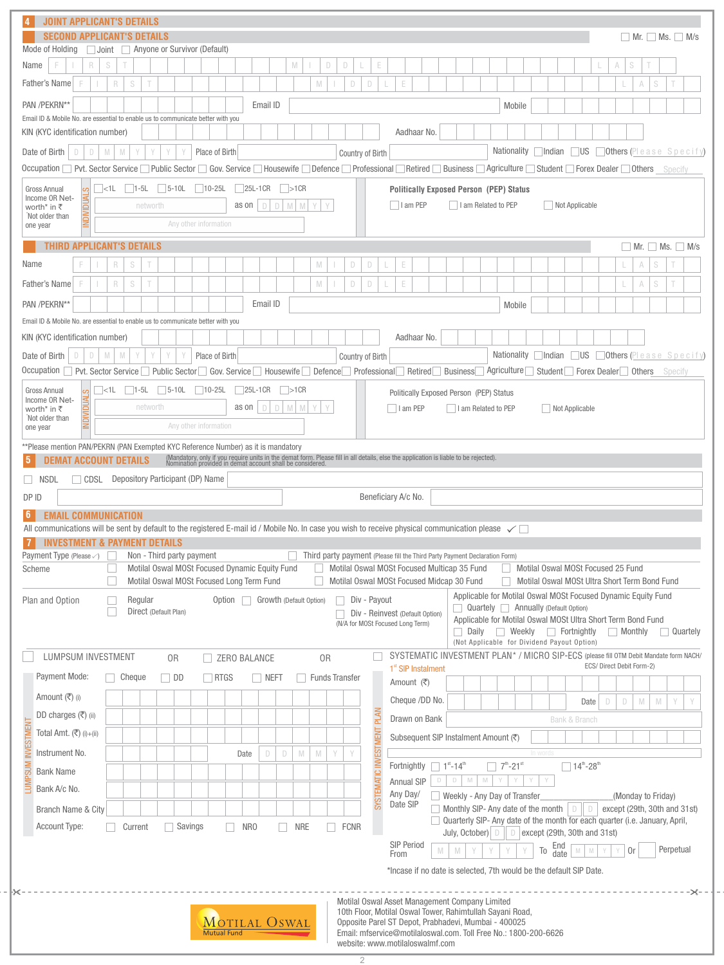| <b>JOINT APPLICANT'S DETAILS</b><br>4                                       |                                                                                                                                                                                                                                                                                                                                                                |                                                                                     |
|-----------------------------------------------------------------------------|----------------------------------------------------------------------------------------------------------------------------------------------------------------------------------------------------------------------------------------------------------------------------------------------------------------------------------------------------------------|-------------------------------------------------------------------------------------|
| Mode of Holding                                                             | <b>SECOND APPLICANT'S DETAILS</b><br>Joint Anyone or Survivor (Default)                                                                                                                                                                                                                                                                                        | $Mr.$ Ms. $M/s$                                                                     |
| Name                                                                        | S<br>M<br>D                                                                                                                                                                                                                                                                                                                                                    |                                                                                     |
| Father's Name                                                               | R<br>S<br>M<br>D<br>D<br>E                                                                                                                                                                                                                                                                                                                                     | S<br>A                                                                              |
| PAN /PEKRN**                                                                | Email ID<br>Mobile                                                                                                                                                                                                                                                                                                                                             |                                                                                     |
| KIN (KYC identification number)                                             | Email ID & Mobile No. are essential to enable us to communicate better with you<br>Aadhaar No.                                                                                                                                                                                                                                                                 |                                                                                     |
| Date of Birth<br>D I<br>D                                                   | M<br>Place of Birth<br>M<br>Country of Birth                                                                                                                                                                                                                                                                                                                   | <b>Nationality Indian <math>\Box</math>US</b> $\Box$ <b>Others</b> (Please Specify) |
|                                                                             | Occupation Pvt. Sector Service Public Sector Gov. Service Housewife Defence Professional Retired Business Agriculture Student Forex Dealer Others Specify                                                                                                                                                                                                      |                                                                                     |
| Gross Annual<br>Income OR Net-<br>worth* in ₹<br>Not older than<br>one year | $\Box$ <1L $\Box$ 1-5L $\Box$ 5-10L $\Box$ 10-25L $\Box$ 25L-1CR $\Box$ >1CR<br><b>Politically Exposed Person (PEP) Status</b><br>I am PEP<br>I am Related to PEP<br>Not Applicable<br>networth<br>as on<br>D <sub>1</sub><br>Ð<br>M<br>M<br>Any other information                                                                                             |                                                                                     |
|                                                                             | THIRD APPLICANT'S DETAILS                                                                                                                                                                                                                                                                                                                                      | $\Box$ Mr. $\Box$ Ms. $\Box$ M/s                                                    |
| Name                                                                        | M<br>D<br>D<br>Е<br>R.<br>S                                                                                                                                                                                                                                                                                                                                    | A                                                                                   |
| Father's Name                                                               | M<br>D<br>R<br>S<br>D<br>E                                                                                                                                                                                                                                                                                                                                     | A<br>S                                                                              |
| PAN /PEKRN**                                                                | Email ID                                                                                                                                                                                                                                                                                                                                                       |                                                                                     |
|                                                                             | Mobile<br>Email ID & Mobile No. are essential to enable us to communicate better with you                                                                                                                                                                                                                                                                      |                                                                                     |
| KIN (KYC identification number)                                             | Aadhaar No.                                                                                                                                                                                                                                                                                                                                                    |                                                                                     |
| Date of Birth<br>D<br>D                                                     | M<br>M<br>Place of Birth<br>Y<br>Country of Birth                                                                                                                                                                                                                                                                                                              | <b>Nationality Indian</b> US <b>Others</b> (Please Specify)                         |
|                                                                             | Occupation   Pvt. Sector Service   Public Sector   Gov. Service   Housewife   Defence   Professional   Retired   Business   Agriculture   Student   Forex Dealer   Others Specify                                                                                                                                                                              |                                                                                     |
|                                                                             | $\lceil$ <1L $\lceil$ 1-5L $\lceil$ 5-10L $\lceil$ 10-25L<br>$25L-1CR$ >1CR                                                                                                                                                                                                                                                                                    |                                                                                     |
| <b>Gross Annual</b><br>Income OR Net-<br>іइ                                 | Politically Exposed Person (PEP) Status                                                                                                                                                                                                                                                                                                                        |                                                                                     |
| worth* in ₹<br>Not older than                                               | $\overline{a}$ s on $\overline{D}$ $\overline{D}$ $\overline{M}$ $\overline{M}$<br>networth<br>$\Box$ I am PEP<br>I am Related to PEP<br>  Not Applicable                                                                                                                                                                                                      |                                                                                     |
| one year                                                                    | Any other information                                                                                                                                                                                                                                                                                                                                          |                                                                                     |
|                                                                             | ** Please mention PAN/PEKRN (PAN Exempted KYC Reference Number) as it is mandatory                                                                                                                                                                                                                                                                             |                                                                                     |
| <b>DEMAT ACCOUNT DETAILS</b>                                                | (Mandatory, only if you require units in the demat form. Please fill in all details, else the application is liable to be rejected).<br>Nomination provided in demat account shall be considered.                                                                                                                                                              |                                                                                     |
| <b>NSDL</b>                                                                 | $\Box$ CDSL Depository Participant (DP) Name                                                                                                                                                                                                                                                                                                                   |                                                                                     |
| DP ID                                                                       | Beneficiary A/c No.                                                                                                                                                                                                                                                                                                                                            |                                                                                     |
| <b>EMAIL COMMUNICATION</b>                                                  |                                                                                                                                                                                                                                                                                                                                                                |                                                                                     |
|                                                                             | All communications will be sent by default to the registered E-mail id / Mobile No. In case you wish to receive physical communication please $\checkmark$<br><b>INVESTMENT &amp; PAYMENT DETAILS</b>                                                                                                                                                          |                                                                                     |
|                                                                             | Payment Type (Please $\vee$ ) $\Box$ Non - Third party payment<br>Third party payment (Please fill the Third Party Payment Declaration Form)                                                                                                                                                                                                                   |                                                                                     |
| Scheme                                                                      | Motilal Oswal MOSt Focused Dynamic Equity Fund<br>Motilal Oswal MOSt Focused Multicap 35 Fund<br>Motilal Oswal MOSt Focused 25 Fund<br>Motilal Oswal MOSt Focused Long Term Fund<br>Motilal Oswal MOSt Focused Midcap 30 Fund                                                                                                                                  | Motilal Oswal MOSt Ultra Short Term Bond Fund                                       |
| Plan and Option                                                             | Applicable for Motilal Oswal MOSt Focused Dynamic Equity Fund<br>Div - Payout<br>Regular<br>Option Growth (Default Option)<br>Quartely   Annually (Default Option)<br>Direct (Default Plan)<br>Div - Reinvest (Default Option)<br>Applicable for Motilal Oswal MOSt Ultra Short Term Bond Fund<br>(N/A for MOSt Focused Long Term)<br>Daily Weekly Fortnightly | $\Box$ Monthly<br><b>Quartely</b>                                                   |
| <b>LUMPSUM INVESTMENT</b>                                                   | (Not Applicable for Dividend Payout Option)<br>SYSTEMATIC INVESTMENT PLAN* / MICRO SIP-ECS (please fill OTM Debit Mandate form NACH/<br>0 <sub>R</sub>                                                                                                                                                                                                         |                                                                                     |
|                                                                             | 0R<br>ZERO BALANCE<br>1 <sup>st</sup> SIP Instalment                                                                                                                                                                                                                                                                                                           | ECS/ Direct Debit Form-2)                                                           |
| Payment Mode:                                                               | $\Box$ DD<br>Cheque<br>RTGS<br>Funds Transfer<br>$\Box$ NEFT<br>Amount (そ)                                                                                                                                                                                                                                                                                     |                                                                                     |
| Amount (₹) (i)                                                              | Cheque /DD No.                                                                                                                                                                                                                                                                                                                                                 | D<br>D<br>M<br>Date<br>M                                                            |
| DD charges $(\overline{\tau})$ (ii)                                         | Drawn on Bank<br>Bank & Branch                                                                                                                                                                                                                                                                                                                                 |                                                                                     |
| Total Amt. $(\overline{\tau})$ (i)+(ii)                                     | SYSTEMATIC INVESTMENT PLAN<br>Subsequent SIP Instalment Amount (₹)                                                                                                                                                                                                                                                                                             |                                                                                     |
| <b>INVESTMENT</b><br>Instrument No.                                         | D<br>D<br>M<br>M<br>Date                                                                                                                                                                                                                                                                                                                                       |                                                                                     |
| <b>Bank Name</b>                                                            | $\Box$ 14 <sup>th</sup> -28 <sup>th</sup><br>Fortnightly $\Box$ 1 <sup>st</sup> -14 <sup>th</sup><br>$\Box$ 7 <sup>th</sup> -21 <sup>st</sup>                                                                                                                                                                                                                  |                                                                                     |
| Bank A/c No.                                                                | $\mathbbm{M}$<br>$\mathbb D$<br>D<br>M<br>Y<br>Annual SIP                                                                                                                                                                                                                                                                                                      |                                                                                     |
|                                                                             | Any Day/<br>Weekly - Any Day of Transfer<br>Date SIP                                                                                                                                                                                                                                                                                                           | (Monday to Friday)                                                                  |
| Branch Name & City                                                          | Monthly SIP- Any date of the month $\boxed{D}$ $\boxed{D}$ except (29th, 30th and 31st)<br>Quarterly SIP- Any date of the month for each quarter (i.e. January, April,                                                                                                                                                                                         |                                                                                     |
| <b>Account Type:</b>                                                        | $\Box$ Savings<br>NR <sub>0</sub><br><b>NRE</b><br>$\Box$ FCNR<br>Current<br>July, October) $\Box$ $\Box$ except (29th, 30th and 31st)                                                                                                                                                                                                                         |                                                                                     |
|                                                                             | <b>SIP Period</b><br>End<br>date<br>$\mathbbmss{M}$ . $\mathbbmss{M}$<br>$\mathsf{T0}$<br>M<br>M<br>From                                                                                                                                                                                                                                                       | Perpetual<br>Y.<br>$\vee$   Or                                                      |
|                                                                             | *Incase if no date is selected, 7th would be the default SIP Date.                                                                                                                                                                                                                                                                                             |                                                                                     |
|                                                                             |                                                                                                                                                                                                                                                                                                                                                                |                                                                                     |
|                                                                             | Motilal Oswal Asset Management Company Limited<br>10th Floor, Motilal Oswal Tower, Rahimtullah Sayani Road,                                                                                                                                                                                                                                                    |                                                                                     |
|                                                                             | MOTILAL OSWAL<br>Opposite Parel ST Depot, Prabhadevi, Mumbai - 400025<br><b>Mutual Fund</b><br>Email: mfservice@motilaloswal.com. Toll Free No.: 1800-200-6626<br>website: www.motilaloswalmf.com                                                                                                                                                              |                                                                                     |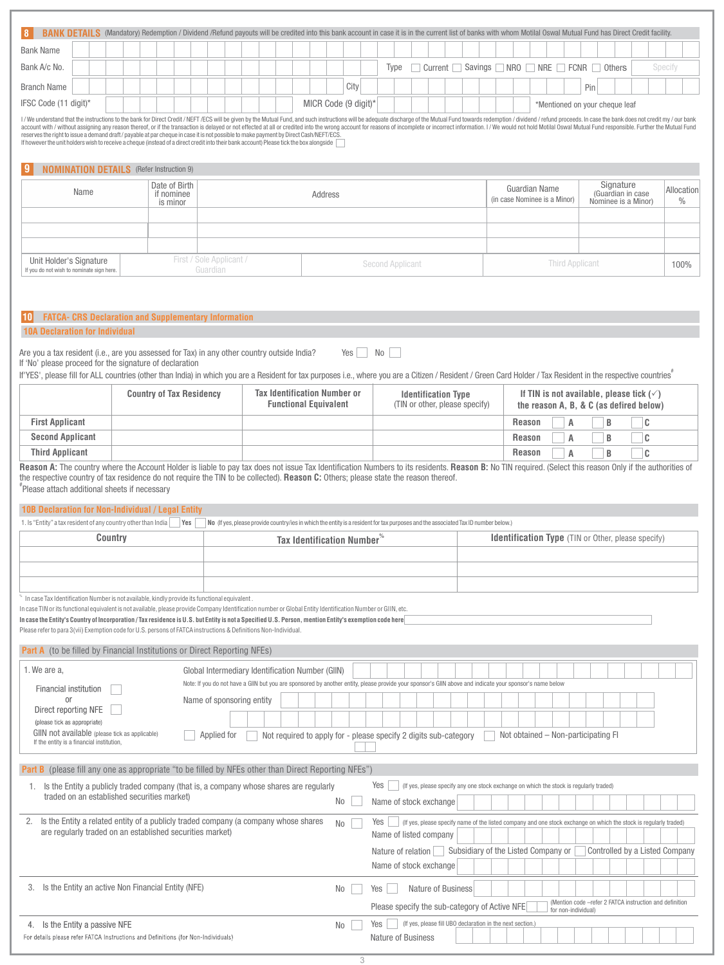| <b>BANK DETAILS</b> (Mandatory) Redemption / Dividend /Refund payouts will be credited into this bank account in case it is in the current list of banks with whom Motilal Oswal Mutual Fund has Direct Credit facility.                                                                                                                                                                                                                                                                                                                                                                                                                                                                                                                                                                                 |      |  |         |  |                        |     |                                                  |  |                                     |                              |         |    |      |                                        |     |      |                                                                                                                                                                   |                    |  |                                     |                                                      |  |   |                                                                               |   |           |                                                           |         |            |      |
|----------------------------------------------------------------------------------------------------------------------------------------------------------------------------------------------------------------------------------------------------------------------------------------------------------------------------------------------------------------------------------------------------------------------------------------------------------------------------------------------------------------------------------------------------------------------------------------------------------------------------------------------------------------------------------------------------------------------------------------------------------------------------------------------------------|------|--|---------|--|------------------------|-----|--------------------------------------------------|--|-------------------------------------|------------------------------|---------|----|------|----------------------------------------|-----|------|-------------------------------------------------------------------------------------------------------------------------------------------------------------------|--------------------|--|-------------------------------------|------------------------------------------------------|--|---|-------------------------------------------------------------------------------|---|-----------|-----------------------------------------------------------|---------|------------|------|
| <b>Bank Name</b>                                                                                                                                                                                                                                                                                                                                                                                                                                                                                                                                                                                                                                                                                                                                                                                         |      |  |         |  |                        |     |                                                  |  |                                     |                              |         |    |      |                                        |     |      |                                                                                                                                                                   |                    |  |                                     |                                                      |  |   |                                                                               |   |           |                                                           |         |            |      |
| Bank A/c No.                                                                                                                                                                                                                                                                                                                                                                                                                                                                                                                                                                                                                                                                                                                                                                                             |      |  |         |  |                        |     |                                                  |  |                                     |                              |         |    |      |                                        |     | Type |                                                                                                                                                                   |                    |  |                                     |                                                      |  |   | $\Box$ Current $\Box$ Savings $\Box$ NRO $\Box$ NRE $\Box$ FCNR $\Box$ Others |   |           |                                                           | Specify |            |      |
| <b>Branch Name</b>                                                                                                                                                                                                                                                                                                                                                                                                                                                                                                                                                                                                                                                                                                                                                                                       |      |  |         |  |                        |     |                                                  |  |                                     |                              |         |    | City |                                        |     |      |                                                                                                                                                                   |                    |  |                                     |                                                      |  |   | Pin                                                                           |   |           |                                                           |         |            |      |
| IFSC Code (11 digit)*                                                                                                                                                                                                                                                                                                                                                                                                                                                                                                                                                                                                                                                                                                                                                                                    |      |  |         |  |                        |     |                                                  |  |                                     |                              |         |    |      | MICR Code (9 digit)*                   |     |      |                                                                                                                                                                   |                    |  |                                     |                                                      |  |   | *Mentioned on your cheque leaf                                                |   |           |                                                           |         |            |      |
| I/We understand that the instructions to the bank for Direct Credit/NEFT/ECS will be given by the Mutual Fund, and such instructions will be adequate discharge of the Mutual Fund towards redemption / dividend / refund proc<br>account with / without assigning any reason thereof, or if the transaction is delayed or not effected at all or credited into the wrong account for reasons of incomplete or incorrect information. I / We would not hold Moti<br>reserves the right to issue a demand draft / payable at par cheque in case it is not possible to make payment by Direct Cash/NEFT/ECS.<br>If however the unit holders wish to receive a cheque (instead of a direct credit into their bank account) Please tick the box alongside<br><b>NOMINATION DETAILS</b> (Refer Instruction 9) |      |  |         |  |                        |     |                                                  |  |                                     |                              |         |    |      |                                        |     |      |                                                                                                                                                                   |                    |  |                                     |                                                      |  |   |                                                                               |   |           |                                                           |         |            |      |
|                                                                                                                                                                                                                                                                                                                                                                                                                                                                                                                                                                                                                                                                                                                                                                                                          |      |  |         |  | Date of Birth          |     |                                                  |  |                                     |                              |         |    |      |                                        |     |      |                                                                                                                                                                   |                    |  |                                     |                                                      |  |   |                                                                               |   | Signature |                                                           |         |            |      |
|                                                                                                                                                                                                                                                                                                                                                                                                                                                                                                                                                                                                                                                                                                                                                                                                          | Name |  |         |  | if nominee<br>is minor |     |                                                  |  |                                     |                              | Address |    |      |                                        |     |      |                                                                                                                                                                   |                    |  |                                     | <b>Guardian Name</b><br>(in case Nominee is a Minor) |  |   |                                                                               |   |           | (Guardian in case<br>Nominee is a Minor)                  |         | Allocation | $\%$ |
|                                                                                                                                                                                                                                                                                                                                                                                                                                                                                                                                                                                                                                                                                                                                                                                                          |      |  |         |  |                        |     |                                                  |  |                                     |                              |         |    |      |                                        |     |      |                                                                                                                                                                   |                    |  |                                     |                                                      |  |   |                                                                               |   |           |                                                           |         |            |      |
| Unit Holder's Signature<br>If you do not wish to nominate sign here.                                                                                                                                                                                                                                                                                                                                                                                                                                                                                                                                                                                                                                                                                                                                     |      |  |         |  |                        |     | First / Sole Applicant /<br>Guardian             |  |                                     |                              |         |    |      |                                        |     |      | <b>Second Applicant</b>                                                                                                                                           |                    |  |                                     |                                                      |  |   | <b>Third Applicant</b>                                                        |   |           |                                                           |         |            | 100% |
| <b>10A Declaration for Individual</b><br>Are you a tax resident (i.e., are you assessed for Tax) in any other country outside India?<br>If 'No' please proceed for the signature of declaration<br>If'YES', please fill for ALL countries (other than India) in which you are a Resident for tax purposes i.e., where you are a Citizen / Resident / Green Card Holder / Tax Resident in the respective countries'                                                                                                                                                                                                                                                                                                                                                                                       |      |  |         |  |                        |     | <b>Country of Tax Residency</b>                  |  | <b>Tax Identification Number or</b> |                              |         |    | Yes  |                                        | No  |      | <b>Identification Type</b>                                                                                                                                        |                    |  |                                     |                                                      |  |   |                                                                               |   |           | If TIN is not available, please tick $(\checkmark)$       |         |            |      |
|                                                                                                                                                                                                                                                                                                                                                                                                                                                                                                                                                                                                                                                                                                                                                                                                          |      |  |         |  |                        |     |                                                  |  |                                     | <b>Functional Equivalent</b> |         |    |      |                                        |     |      | (TIN or other, please specify)                                                                                                                                    |                    |  |                                     |                                                      |  |   |                                                                               |   |           | the reason A, B, & C (as defired below)                   |         |            |      |
| <b>First Applicant</b>                                                                                                                                                                                                                                                                                                                                                                                                                                                                                                                                                                                                                                                                                                                                                                                   |      |  |         |  |                        |     |                                                  |  |                                     |                              |         |    |      |                                        |     |      |                                                                                                                                                                   |                    |  |                                     | <b>Reason</b>                                        |  | Α |                                                                               | B |           | C                                                         |         |            |      |
| <b>Second Applicant</b>                                                                                                                                                                                                                                                                                                                                                                                                                                                                                                                                                                                                                                                                                                                                                                                  |      |  |         |  |                        |     |                                                  |  |                                     |                              |         |    |      |                                        |     |      |                                                                                                                                                                   |                    |  |                                     | <b>Reason</b>                                        |  | Α |                                                                               | B |           | C                                                         |         |            |      |
| <b>Third Applicant</b><br>Reason A: The country where the Account Holder is liable to pay tax does not issue Tax Identification Numbers to its residents. Reason B: No TIN required. (Select this reason Only if the authorities of                                                                                                                                                                                                                                                                                                                                                                                                                                                                                                                                                                      |      |  |         |  |                        |     |                                                  |  |                                     |                              |         |    |      |                                        |     |      |                                                                                                                                                                   |                    |  |                                     | <b>Reason</b>                                        |  | Α |                                                                               | B |           | C                                                         |         |            |      |
| 10B Declaration for Non-Individual / Legal Entity<br>1. Is "Entity" a tax resident of any country other than India                                                                                                                                                                                                                                                                                                                                                                                                                                                                                                                                                                                                                                                                                       |      |  |         |  |                        | Yes |                                                  |  |                                     |                              |         |    |      |                                        |     |      | No (If yes, please provide country/ies in which the entity is a resident for tax purposes and the associated Tax ID number below.)                                |                    |  |                                     |                                                      |  |   |                                                                               |   |           | <b>Identification Type</b> (TIN or Other, please specify) |         |            |      |
|                                                                                                                                                                                                                                                                                                                                                                                                                                                                                                                                                                                                                                                                                                                                                                                                          |      |  | Country |  |                        |     |                                                  |  |                                     |                              |         |    |      | Tax Identification Number <sup>%</sup> |     |      |                                                                                                                                                                   |                    |  |                                     |                                                      |  |   |                                                                               |   |           |                                                           |         |            |      |
|                                                                                                                                                                                                                                                                                                                                                                                                                                                                                                                                                                                                                                                                                                                                                                                                          |      |  |         |  |                        |     |                                                  |  |                                     |                              |         |    |      |                                        |     |      |                                                                                                                                                                   |                    |  |                                     |                                                      |  |   |                                                                               |   |           |                                                           |         |            |      |
| $*$ In case Tax Identification Number is not available, kindly provide its functional equivalent.<br>In case TIN or its functional equivalent is not available, please provide Company Identification number or Global Entity Identification Number or GIIN, etc.<br>In case the Entity's Country of Incorporation/Tax residence is U.S. but Entity is not a Specified U.S. Person, mention Entity's exemption code here<br>Please refer to para 3(vii) Exemption code for U.S. persons of FATCA instructions & Definitions Non-Individual.                                                                                                                                                                                                                                                              |      |  |         |  |                        |     |                                                  |  |                                     |                              |         |    |      |                                        |     |      |                                                                                                                                                                   |                    |  |                                     |                                                      |  |   |                                                                               |   |           |                                                           |         |            |      |
| <b>Part A</b> (to be filled by Financial Institutions or Direct Reporting NFEs)                                                                                                                                                                                                                                                                                                                                                                                                                                                                                                                                                                                                                                                                                                                          |      |  |         |  |                        |     |                                                  |  |                                     |                              |         |    |      |                                        |     |      |                                                                                                                                                                   |                    |  |                                     |                                                      |  |   |                                                                               |   |           |                                                           |         |            |      |
| 1. We are a,                                                                                                                                                                                                                                                                                                                                                                                                                                                                                                                                                                                                                                                                                                                                                                                             |      |  |         |  |                        |     | Global Intermediary Identification Number (GIIN) |  |                                     |                              |         |    |      |                                        |     |      | Note: If you do not have a GIIN but you are sponsored by another entity, please provide your sponsor's GIIN above and indicate your sponsor's name below          |                    |  |                                     |                                                      |  |   |                                                                               |   |           |                                                           |         |            |      |
| Financial institution                                                                                                                                                                                                                                                                                                                                                                                                                                                                                                                                                                                                                                                                                                                                                                                    |      |  |         |  |                        |     | Name of sponsoring entity                        |  |                                     |                              |         |    |      |                                        |     |      |                                                                                                                                                                   |                    |  |                                     |                                                      |  |   |                                                                               |   |           |                                                           |         |            |      |
| Direct reporting NFE<br>(please tick as appropriate)<br>GIIN not available (please tick as applicable)                                                                                                                                                                                                                                                                                                                                                                                                                                                                                                                                                                                                                                                                                                   |      |  |         |  |                        |     | Applied for                                      |  |                                     |                              |         |    |      |                                        |     |      | Not required to apply for - please specify 2 digits sub-category                                                                                                  |                    |  |                                     |                                                      |  |   | Not obtained - Non-participating FI                                           |   |           |                                                           |         |            |      |
| If the entity is a financial institution,                                                                                                                                                                                                                                                                                                                                                                                                                                                                                                                                                                                                                                                                                                                                                                |      |  |         |  |                        |     |                                                  |  |                                     |                              |         |    |      |                                        |     |      |                                                                                                                                                                   |                    |  |                                     |                                                      |  |   |                                                                               |   |           |                                                           |         |            |      |
| <b>Part B</b> (please fill any one as appropriate "to be filled by NFEs other than Direct Reporting NFEs")                                                                                                                                                                                                                                                                                                                                                                                                                                                                                                                                                                                                                                                                                               |      |  |         |  |                        |     |                                                  |  |                                     |                              |         |    |      |                                        |     |      |                                                                                                                                                                   |                    |  |                                     |                                                      |  |   |                                                                               |   |           |                                                           |         |            |      |
| 1. Is the Entity a publicly traded company (that is, a company whose shares are regularly<br>traded on an established securities market)                                                                                                                                                                                                                                                                                                                                                                                                                                                                                                                                                                                                                                                                 |      |  |         |  |                        |     |                                                  |  |                                     |                              |         | No |      |                                        | Yes |      | (If yes, please specify any one stock exchange on which the stock is regularly traded)<br>Name of stock exchange                                                  |                    |  |                                     |                                                      |  |   |                                                                               |   |           |                                                           |         |            |      |
| 2. Is the Entity a related entity of a publicly traded company (a company whose shares<br>are regularly traded on an established securities market)                                                                                                                                                                                                                                                                                                                                                                                                                                                                                                                                                                                                                                                      |      |  |         |  |                        |     |                                                  |  |                                     |                              |         | No |      |                                        | Yes |      | (If yes, please specify name of the listed company and one stock exchange on which the stock is regularly traded)<br>Name of listed company<br>Nature of relation |                    |  | Subsidiary of the Listed Company or |                                                      |  |   |                                                                               |   |           | Controlled by a Listed Company                            |         |            |      |
|                                                                                                                                                                                                                                                                                                                                                                                                                                                                                                                                                                                                                                                                                                                                                                                                          |      |  |         |  |                        |     |                                                  |  |                                     |                              |         |    |      |                                        |     |      | Name of stock exchange                                                                                                                                            |                    |  |                                     |                                                      |  |   |                                                                               |   |           |                                                           |         |            |      |
| 3. Is the Entity an active Non Financial Entity (NFE)                                                                                                                                                                                                                                                                                                                                                                                                                                                                                                                                                                                                                                                                                                                                                    |      |  |         |  |                        |     |                                                  |  |                                     |                              |         | No |      |                                        | Yes |      |                                                                                                                                                                   | Nature of Business |  |                                     |                                                      |  |   |                                                                               |   |           | (Mention code -refer 2 FATCA instruction and definition   |         |            |      |
|                                                                                                                                                                                                                                                                                                                                                                                                                                                                                                                                                                                                                                                                                                                                                                                                          |      |  |         |  |                        |     |                                                  |  |                                     |                              |         |    |      |                                        |     |      | Please specify the sub-category of Active NFE                                                                                                                     |                    |  |                                     |                                                      |  |   | for non-individual)                                                           |   |           |                                                           |         |            |      |
| 4. Is the Entity a passive NFE<br>For details please refer FATCA Instructions and Definitions (for Non-Individuals)                                                                                                                                                                                                                                                                                                                                                                                                                                                                                                                                                                                                                                                                                      |      |  |         |  |                        |     |                                                  |  |                                     |                              |         | No |      |                                        | Yes |      | (If yes, please fill UBO declaration in the next section.)<br>Nature of Business                                                                                  |                    |  |                                     |                                                      |  |   |                                                                               |   |           |                                                           |         |            |      |

3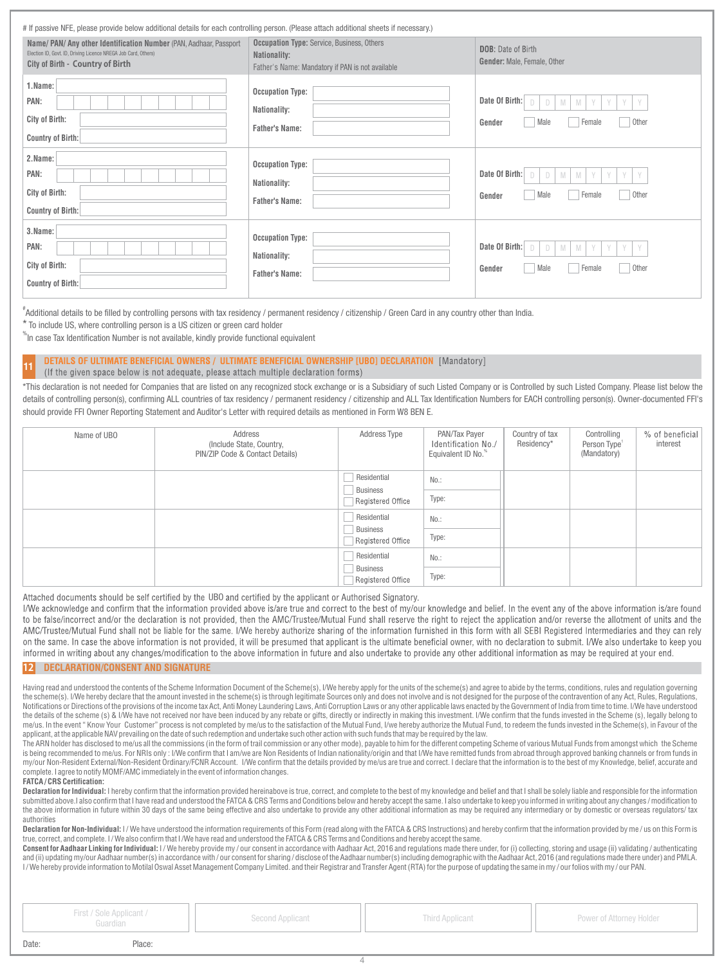| # If passive NFE, please provide below additional details for each controlling person. (Please attach additional sheets if necessary.)                                   |                                                                                                                       |                                                                                                            |
|--------------------------------------------------------------------------------------------------------------------------------------------------------------------------|-----------------------------------------------------------------------------------------------------------------------|------------------------------------------------------------------------------------------------------------|
| Name/ PAN/ Any other Identification Number (PAN, Aadhaar, Passport<br>Election ID, Govt. ID, Driving Licence NREGA Job Card, Others)<br>City of Birth - Country of Birth | <b>Occupation Type:</b> Service, Business, Others<br>Nationality:<br>Father's Name: Mandatory if PAN is not available | <b>DOB:</b> Date of Birth<br>Gender: Male, Female, Other                                                   |
| 1.Name:<br>PAN:<br>City of Birth:<br><b>Country of Birth:</b>                                                                                                            | <b>Occupation Type:</b><br>Nationality:<br><b>Father's Name:</b>                                                      | Date Of Birth:<br>$\Box$<br>$\mathbb N$<br>D<br>M<br>Y<br>Y<br>Y<br>Y<br>Other<br>Male<br>Female<br>Gender |
| 2.Name:<br>PAN:<br>City of Birth:<br><b>Country of Birth:</b>                                                                                                            | <b>Occupation Type:</b><br>Nationality:<br><b>Father's Name:</b>                                                      | Date Of Birth:<br>$\Box$<br>M<br>M<br>D<br>Y<br>Y<br>Y<br>Y<br>Other<br>Male<br>Female<br>Gender           |
| 3.Name:<br>PAN:<br>City of Birth:<br><b>Country of Birth:</b>                                                                                                            | <b>Occupation Type:</b><br>Nationality:<br><b>Father's Name:</b>                                                      | Date Of Birth:<br>$\Box$<br>M<br>M<br>D<br>Y<br>Other<br>Male<br>Female<br>Gender                          |

# Additional details to be filled by controlling persons with tax residency / permanent residency / citizenship / Green Card in any country other than India.

\* To include US, where controlling person is a US citizen or green card holder

 $^{\%}$ In case Tax Identification Number is not available, kindly provide functional equivalent

## DETAILS OF ULTIMATE BENEFICIAL OWNERS / ULTIMATE BENEFICIAL OWNERSHIP [UBO] DECLARATION [Mandatory] **11** (If the given space below is not adequate, please attach multiple declaration forms)

\*This declaration is not needed for Companies that are listed on any recognized stock exchange or is a Subsidiary of such Listed Company or is Controlled by such Listed Company. Please list below the details of controlling person(s), confirming ALL countries of tax residency / permanent residency / citizenship and ALL Tax Identification Numbers for EACH controlling person(s). Owner-documented FFI's should provide FFI Owner Reporting Statement and Auditor's Letter with required details as mentioned in Form W8 BEN E.

| Name of UBO | Address<br>(Include State, Country,<br>PIN/ZIP Code & Contact Details) | Address Type                                 | PAN/Tax Payer<br>Identification No./<br>Equivalent ID No. <sup>%</sup> | Country of tax<br>Residency* | Controlling<br>Person Type <sup>1</sup><br>(Mandatory) | % of beneficial<br>interest |
|-------------|------------------------------------------------------------------------|----------------------------------------------|------------------------------------------------------------------------|------------------------------|--------------------------------------------------------|-----------------------------|
|             |                                                                        | Residential<br>Business<br>Registered Office | No.:<br>Type:                                                          |                              |                                                        |                             |
|             |                                                                        | Residential<br>Business<br>Registered Office | $No.$ :<br>Type:                                                       |                              |                                                        |                             |
|             |                                                                        | Residential<br>Business<br>Registered Office | No.:<br>Type:                                                          |                              |                                                        |                             |

Attached documents should be self certified by the UBO and certified by the applicant or Authorised Signatory.<br>I/We acknowledge and confirm that the information provided above is/are true and correct to the best of my/our to be false/incorrect and/or the declaration is not provided, then the AMC/Trustee/Mutual Fund shall reserve the right to reject the application and/or reverse the allotment of units and the AMC/Trustee/Mutual Fund shall not be liable for the same. I/We hereby authorize sharing of the information furnished in this form with all SEBI Registered Intermediaries and they can rely on the same. In case the above information is not provided, it will be presumed that applicant is the ultimate beneficial owner, with no declaration to submit. I/We also undertake to keep you informed in writing about any changes/modification to the above information in future and also undertake to provide any other additional information as may be required at your end.

## **12 DECLARATION/CONSENT AND SIGNATURE**

Having read and understood the contents of the Scheme Information Document of the Scheme(s), I/We hereby apply for the units of the scheme(s) and agree to abide by the terms, conditions, rules and regulation governing the scheme(s). I/We hereby declare that the amount invested in the scheme(s) is through legitimate Sources only and does not involve and is not designed for the purpose of the contravention of any Act, Rules, Regulations, Notifications or Directions of the provisions of the income tax Act, Anti Money Laundering Laws, Anti Corruption Laws or any other applicable laws enacted by the Government of India from time to time. I/We have understood the details of the scheme (s) & I/We have not received nor have been induced by any rebate or gifts, directly or indirectly in making this investment. I/We confirm that the funds invested in the Scheme (s), legally belong applicant, at the applicable NAV prevailing on the date of such redemption and undertake such other action with such funds that may be required by the law.

The ARN holder has disclosed to me/us all the commissions (in the form of trail commission or any other mode), payable to him for the different competing Scheme of various Mutual Funds from amongst which the Scheme is being recommended to me/us. For NRIs only: I/We confirm that I am/we are Non Residents of Indian nationality/origin and that I/We have remitted funds from abroad through approved banking channels or from funds in my/our Non-Resident External/Non-Resident Ordinary/FCNR Account. I/We confirm that the details provided by me/us are true and correct. I declare that the information is to the best of my Knowledge, belief, accurate and complete. I agree to notify MOMF/AMC immediately in the event of information changes.

**FATCA / CRS Certification:**

Declaration for Individual: I hereby confirm that the information provided hereinabove is true, correct, and complete to the best of my knowledge and belief and that I shall be solely liable and responsible for the informa submitted above.I also confirm that I have read and understood the FATCA & CRS Terms and Conditions below and hereby accept the same. I also undertake to keep you informed in writing about any changes / modification to the above information in future within 30 days of the same being effective and also undertake to provide any other additional information as may be required any intermediary or by domestic or overseas regulators/ tax authorities

Declaration for Non-Individual: I/We have understood the information requirements of this Form (read along with the FATCA & CRS Instructions) and hereby confirm that the information provided by me / us on this Form is true, correct, and complete. I / We also confirm that I /We have read and understood the FATCA & CRS Terms and Conditions and hereby accept the same.

Consent for Aadhaar Linking for Individual: I/We hereby provide my / our consent in accordance with Aadhaar Act, 2016 and regulations made there under, for (i) collecting, storing and usage (ii) validating / authenticating and (ii) updating my/our Aadhaar number(s) in accordance with / our consent for sharing / disclose of the Aadhaar number(s) including demographic with the Aadhaar Act, 2016 (and regulations made there under) and PMLA. I / We hereby provide information to Motilal Oswal Asset Management Company Limited. and their Registrar and Transfer Agent (RTA) for the purpose of updating the same in my / our folios with my / our PAN.

|       | First / Sole Applicant /<br>Guardian | Second Applicant | <b>Third Applicant</b> | Power of Attorney Holder |
|-------|--------------------------------------|------------------|------------------------|--------------------------|
| Date: | Place:                               |                  |                        |                          |